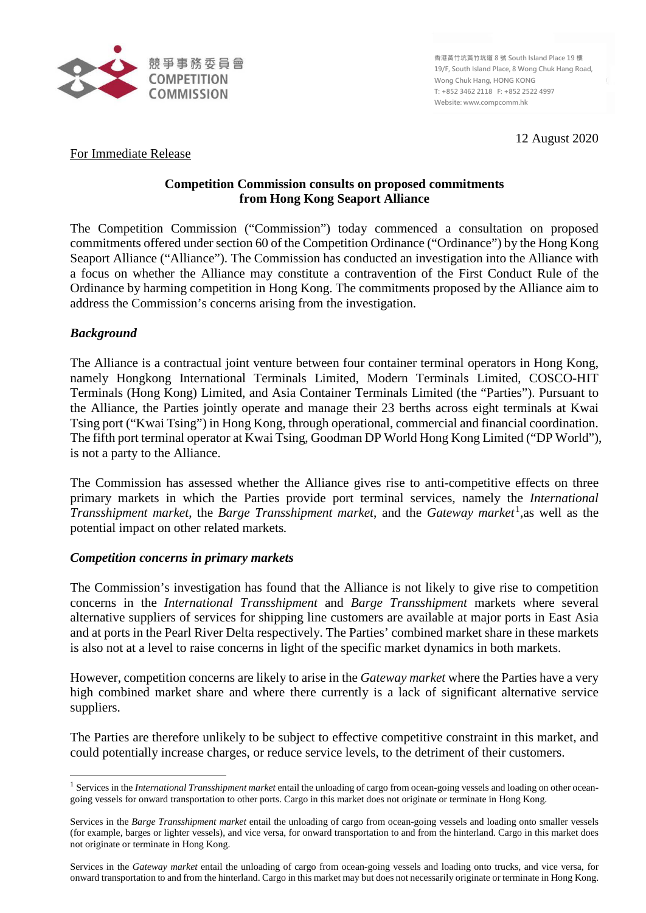

**香港黃竹坑黃竹坑道 8 號 South Island Place 19 樓 19/F, South Island Place, 8 Wong Chuk Hang Road, Wong Chuk Hang, HONG KONG T: +852 3462 2118 F: +852 2522 4997 Website: www.compcomm.hk**

12 August 2020

For Immediate Release

# **Competition Commission consults on proposed commitments from Hong Kong Seaport Alliance**

The Competition Commission ("Commission") today commenced a consultation on proposed commitments offered under section 60 of the Competition Ordinance ("Ordinance") by the Hong Kong Seaport Alliance ("Alliance"). The Commission has conducted an investigation into the Alliance with a focus on whether the Alliance may constitute a contravention of the First Conduct Rule of the Ordinance by harming competition in Hong Kong. The commitments proposed by the Alliance aim to address the Commission's concerns arising from the investigation.

# *Background*

 $\overline{a}$ 

The Alliance is a contractual joint venture between four container terminal operators in Hong Kong, namely Hongkong International Terminals Limited, Modern Terminals Limited, COSCO-HIT Terminals (Hong Kong) Limited, and Asia Container Terminals Limited (the "Parties"). Pursuant to the Alliance, the Parties jointly operate and manage their 23 berths across eight terminals at Kwai Tsing port ("Kwai Tsing") in Hong Kong, through operational, commercial and financial coordination. The fifth port terminal operator at Kwai Tsing, Goodman DP World Hong Kong Limited ("DP World"), is not a party to the Alliance.

The Commission has assessed whether the Alliance gives rise to anti-competitive effects on three primary markets in which the Parties provide port terminal services, namely the *International Transshipment market*, the *Barge Transshipment market*, and the *Gateway market*<sup>[1](#page-0-0)</sup>, as well as the potential impact on other related markets*.*

## *Competition concerns in primary markets*

The Commission's investigation has found that the Alliance is not likely to give rise to competition concerns in the *International Transshipment* and *Barge Transshipment* markets where several alternative suppliers of services for shipping line customers are available at major ports in East Asia and at ports in the Pearl River Delta respectively. The Parties' combined market share in these markets is also not at a level to raise concerns in light of the specific market dynamics in both markets.

However, competition concerns are likely to arise in the *Gateway market* where the Parties have a very high combined market share and where there currently is a lack of significant alternative service suppliers.

The Parties are therefore unlikely to be subject to effective competitive constraint in this market, and could potentially increase charges, or reduce service levels, to the detriment of their customers.

<span id="page-0-0"></span><sup>1</sup> Services in the *International Transshipment market* entail the unloading of cargo from ocean-going vessels and loading on other oceangoing vessels for onward transportation to other ports. Cargo in this market does not originate or terminate in Hong Kong.

Services in the *Barge Transshipment market* entail the unloading of cargo from ocean-going vessels and loading onto smaller vessels (for example, barges or lighter vessels), and vice versa, for onward transportation to and from the hinterland. Cargo in this market does not originate or terminate in Hong Kong.

Services in the *Gateway market* entail the unloading of cargo from ocean-going vessels and loading onto trucks, and vice versa, for onward transportation to and from the hinterland. Cargo in this market may but does not necessarily originate or terminate in Hong Kong.